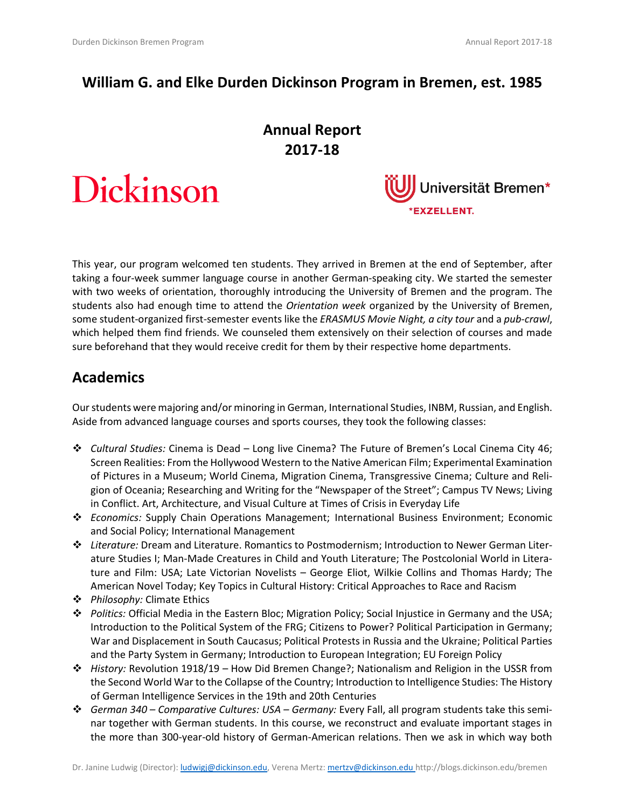### **William G. and Elke Durden Dickinson Program in Bremen, est. 1985**

# **Annual Report 2017-18**





This year, our program welcomed ten students. They arrived in Bremen at the end of September, after taking a four-week summer language course in another German-speaking city. We started the semester with two weeks of orientation, thoroughly introducing the University of Bremen and the program. The students also had enough time to attend the *Orientation week* organized by the University of Bremen, some student-organized first-semester events like the *ERASMUS Movie Night, a city tour* and a *pub-crawl*, which helped them find friends. We counseled them extensively on their selection of courses and made sure beforehand that they would receive credit for them by their respective home departments.

#### **Academics**

Our students were majoring and/or minoring in German, International Studies, INBM, Russian, and English. Aside from advanced language courses and sports courses, they took the following classes:

- ❖ *Cultural Studies:* Cinema is Dead Long live Cinema? The Future of Bremen's Local Cinema City 46; Screen Realities: From the Hollywood Western to the Native American Film; Experimental Examination of Pictures in a Museum; World Cinema, Migration Cinema, Transgressive Cinema; Culture and Religion of Oceania; Researching and Writing for the "Newspaper of the Street"; Campus TV News; Living in Conflict. Art, Architecture, and Visual Culture at Times of Crisis in Everyday Life
- ❖ *Economics:* Supply Chain Operations Management; International Business Environment; Economic and Social Policy; International Management
- ❖ *Literature:* Dream and Literature. Romantics to Postmodernism; Introduction to Newer German Literature Studies I; Man-Made Creatures in Child and Youth Literature; The Postcolonial World in Literature and Film: USA; Late Victorian Novelists – George Eliot, Wilkie Collins and Thomas Hardy; The American Novel Today; Key Topics in Cultural History: Critical Approaches to Race and Racism
- ❖ *Philosophy:* Climate Ethics
- ❖ *Politics:* Official Media in the Eastern Bloc; Migration Policy; Social Injustice in Germany and the USA; Introduction to the Political System of the FRG; Citizens to Power? Political Participation in Germany; War and Displacement in South Caucasus; Political Protests in Russia and the Ukraine; Political Parties and the Party System in Germany; Introduction to European Integration; EU Foreign Policy
- ❖ *History:* Revolution 1918/19 How Did Bremen Change?; Nationalism and Religion in the USSR from the Second World War to the Collapse of the Country; Introduction to Intelligence Studies: The History of German Intelligence Services in the 19th and 20th Centuries
- ❖ *German 340 – Comparative Cultures: USA – Germany:* Every Fall, all program students take this seminar together with German students. In this course, we reconstruct and evaluate important stages in the more than 300-year-old history of German-American relations. Then we ask in which way both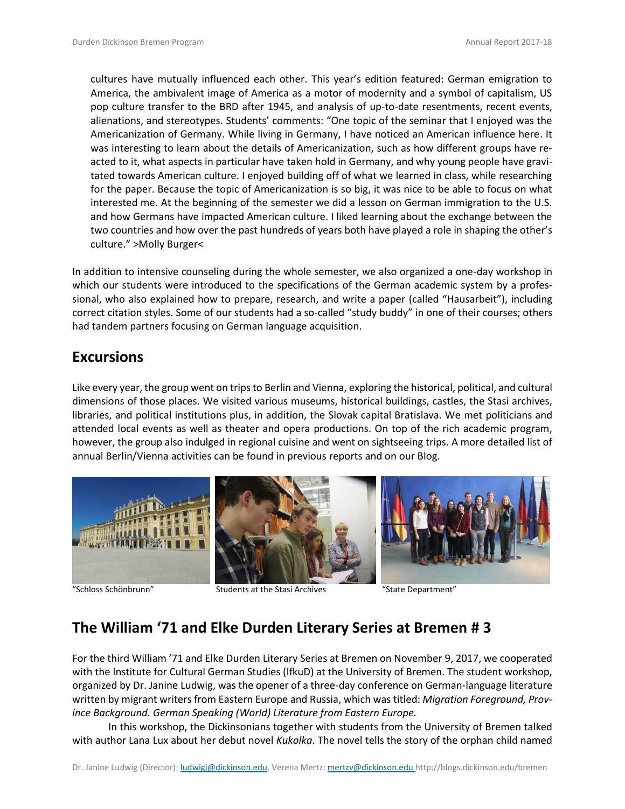cultures have mutually influenced each other. This year's edition featured: German emigration to America, the ambivalent image of America as a motor of modernity and a symbol of capitalism, US pop culture transfer to the BRD after 1945, and analysis of up-to-date resentments, recent events, alienations, and stereotypes. Students' comments: "One topic of the seminar that I enjoyed was the Americanization of Germany. While living in Germany, I have noticed an American influence here. It was interesting to learn about the details of Americanization, such as how different groups have reacted to it, what aspects in particular have taken hold in Germany, and why young people have gravitated towards American culture. I enjoyed building off of what we learned in class, while researching for the paper. Because the topic of Americanization is so big, it was nice to be able to focus on what interested me. At the beginning of the semester we did a lesson on German immigration to the U.S. and how Germans have impacted American culture. I liked learning about the exchange between the two countries and how over the past hundreds of years both have played a role in shaping the other's culture." >Molly Burger<

In addition to intensive counseling during the whole semester, we also organized a one-day workshop in which our students were introduced to the specifications of the German academic system by a professional, who also explained how to prepare, research, and write a paper (called "Hausarbeit"), including correct citation styles. Some of our students had a so-called "study buddy" in one of their courses; others had tandem partners focusing on German language acquisition.

#### **Excursions**

Like every year, the group went on trips to Berlin and Vienna, exploring the historical, political, and cultural dimensions of those places. We visited various museums, historical buildings, castles, the Stasi archives, libraries, and political institutions plus, in addition, the Slovak capital Bratislava. We met politicians and attended local events as well as theater and opera productions. On top of the rich academic program, however, the group also indulged in regional cuisine and went on sightseeing trips. A more detailed list of annual Berlin/Vienna activities can be found in previous reports and on our Blog.



"Schloss Schönbrunn" Students at the Stasi Archives "State Department"

## **The William '71 and Elke Durden Literary Series at Bremen # 3**

For the third William '71 and Elke Durden Literary Series at Bremen on November 9, 2017, we cooperated with the Institute for Cultural German Studies (IfkuD) at the University of Bremen. The student workshop, organized by Dr. Janine Ludwig, was the opener of a three-day conference on German-language literature written by migrant writers from Eastern Europe and Russia, which was titled: *Migration Foreground, Province Background. German Speaking (World) Literature from Eastern Europe.*

In this workshop, the Dickinsonians together with students from the University of Bremen talked with author Lana Lux about her debut novel *Kukolka*. The novel tells the story of the orphan child named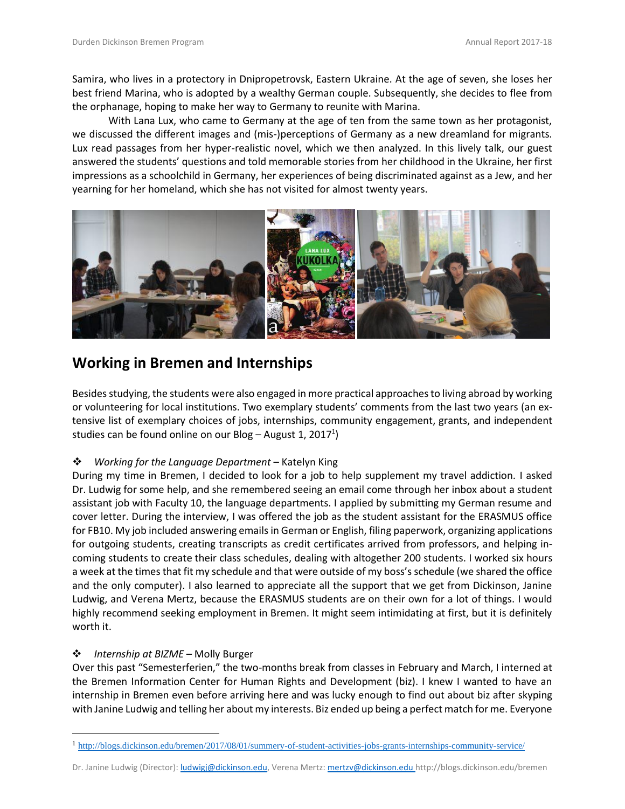Samira, who lives in a protectory in Dnipropetrovsk, Eastern Ukraine. At the age of seven, she loses her best friend Marina, who is adopted by a wealthy German couple. Subsequently, she decides to flee from the orphanage, hoping to make her way to Germany to reunite with Marina.

With Lana Lux, who came to Germany at the age of ten from the same town as her protagonist, we discussed the different images and (mis-)perceptions of Germany as a new dreamland for migrants. Lux read passages from her hyper-realistic novel, which we then analyzed. In this lively talk, our guest answered the students' questions and told memorable stories from her childhood in the Ukraine, her first impressions as a schoolchild in Germany, her experiences of being discriminated against as a Jew, and her yearning for her homeland, which she has not visited for almost twenty years.



### **Working in Bremen and Internships**

Besides studying, the students were also engaged in more practical approaches to living abroad by working or volunteering for local institutions. Two exemplary students' comments from the last two years (an extensive list of exemplary choices of jobs, internships, community engagement, grants, and independent studies can be found online on our Blog – August 1, 2017<sup>1</sup>)

#### ❖ *Working for the Language Department* – Katelyn King

During my time in Bremen, I decided to look for a job to help supplement my travel addiction. I asked Dr. Ludwig for some help, and she remembered seeing an email come through her inbox about a student assistant job with Faculty 10, the language departments. I applied by submitting my German resume and cover letter. During the interview, I was offered the job as the student assistant for the ERASMUS office for FB10. My job included answering emails in German or English, filing paperwork, organizing applications for outgoing students, creating transcripts as credit certificates arrived from professors, and helping incoming students to create their class schedules, dealing with altogether 200 students. I worked six hours a week at the times that fit my schedule and that were outside of my boss's schedule (we shared the office and the only computer). I also learned to appreciate all the support that we get from Dickinson, Janine Ludwig, and Verena Mertz, because the ERASMUS students are on their own for a lot of things. I would highly recommend seeking employment in Bremen. It might seem intimidating at first, but it is definitely worth it.

#### ❖ *Internship at BIZME* – Molly Burger

 $\overline{a}$ 

Over this past "Semesterferien," the two-months break from classes in February and March, I interned at the Bremen Information Center for Human Rights and Development (biz). I knew I wanted to have an internship in Bremen even before arriving here and was lucky enough to find out about biz after skyping with Janine Ludwig and telling her about my interests. Biz ended up being a perfect match for me. Everyone

<sup>1</sup> <http://blogs.dickinson.edu/bremen/2017/08/01/summery-of-student-activities-jobs-grants-internships-community-service/>

Dr. Janine Ludwig (Director): *ludwigj@dickinson.edu*, Verena Mertz: [mertzv@dickinson.edu](mailto:mertzv@dickinson.edu) http://blogs.dickinson.edu/bremen